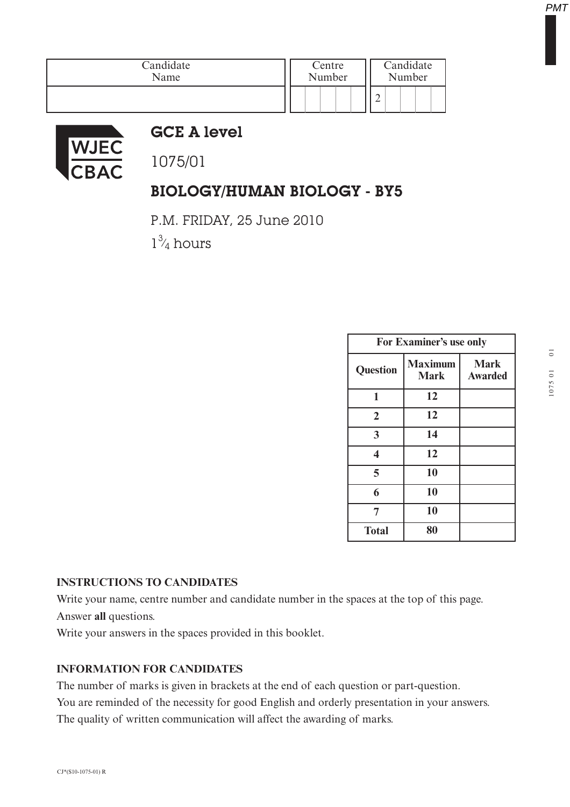| Candidate | Centre | Candidate |   |  |  |  |  |
|-----------|--------|-----------|---|--|--|--|--|
| Name      | Number | Number    |   |  |  |  |  |
|           |        |           | ∼ |  |  |  |  |



## GCE A level

1075/01

# BIOLOGY/HUMAN BIOLOGY - BY5

P.M. FRIDAY, 25 June 2010

 $1\frac{3}{4}$  hours **∕** 

| For Examiner's use only |                               |                               |  |  |  |
|-------------------------|-------------------------------|-------------------------------|--|--|--|
| <b>Question</b>         | <b>Maximum</b><br><b>Mark</b> | <b>Mark</b><br><b>Awarded</b> |  |  |  |
| 1                       | 12                            |                               |  |  |  |
| $\overline{2}$          | 12                            |                               |  |  |  |
| 3                       | 14                            |                               |  |  |  |
| $\overline{\mathbf{4}}$ | 12                            |                               |  |  |  |
| 5                       | 10                            |                               |  |  |  |
| 6                       | 10                            |                               |  |  |  |
| 7                       | 10                            |                               |  |  |  |
| <b>Total</b>            | 80                            |                               |  |  |  |

#### **INSTRUCTIONS TO CANDIDATES**

Write your name, centre number and candidate number in the spaces at the top of this page. Answer **all** questions.

Write your answers in the spaces provided in this booklet.

### **INFORMATION FOR CANDIDATES**

The number of marks is given in brackets at the end of each question or part-question.

You are reminded of the necessity for good English and orderly presentation in your answers. The quality of written communication will affect the awarding of marks.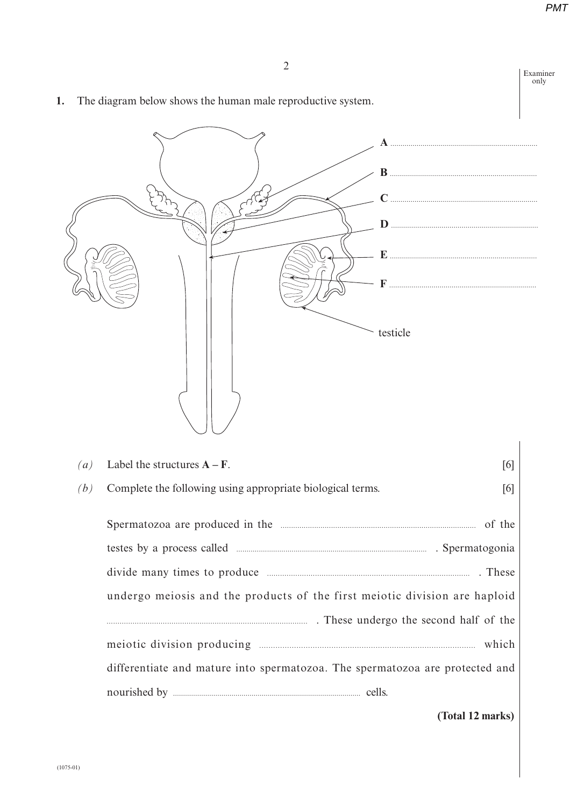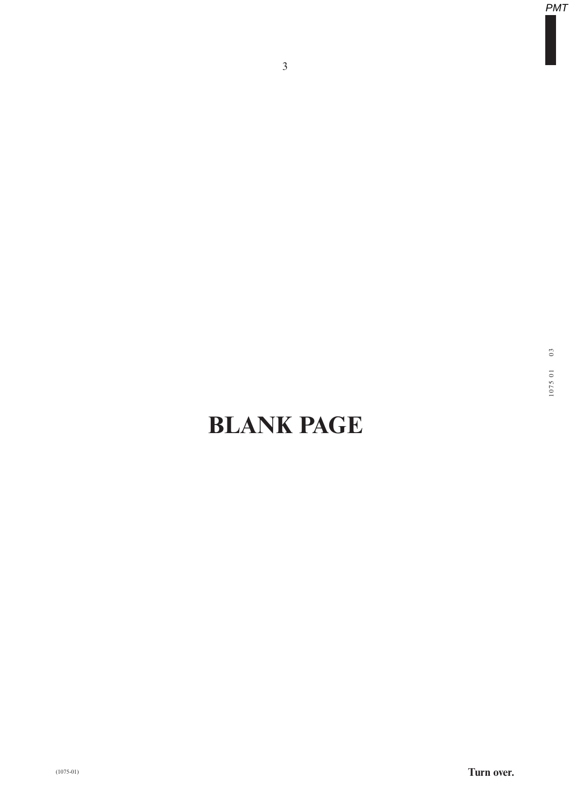

# **BLANK PAGE**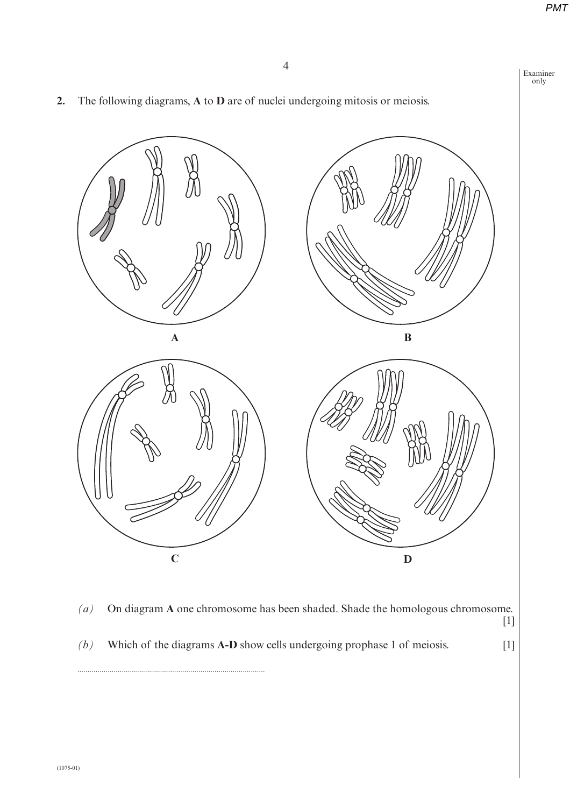Examiner only

**2.** The following diagrams, **A** to **D** are of nuclei undergoing mitosis or meiosis.



*(a)* On diagram **A** one chromosome has been shaded. Shade the homologous chromosome. [1] *(b)* Which of the diagrams **A-D** show cells undergoing prophase 1 of meiosis. [1]

**.............................................................................................**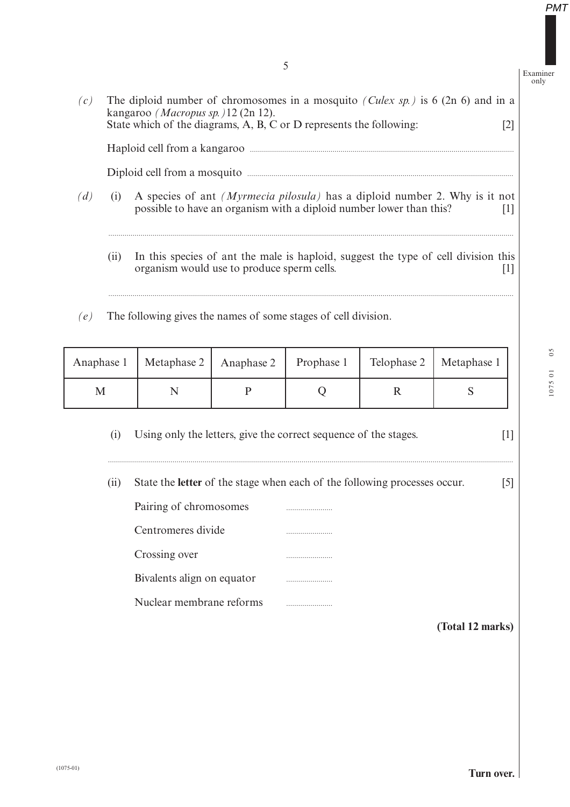Examiner only

| (c)               |      | The diploid number of chromosomes in a mosquito (Culex sp.) is 6 (2n 6) and in a<br>kangaroo (Macropus sp.) 12 (2n 12).<br>State which of the diagrams, A, B, C or D represents the following: |
|-------------------|------|------------------------------------------------------------------------------------------------------------------------------------------------------------------------------------------------|
|                   |      |                                                                                                                                                                                                |
|                   |      |                                                                                                                                                                                                |
| $\left( d\right)$ | (1)  | A species of ant <i>(Myrmecia pilosula)</i> has a diploid number 2. Why is it not<br>possible to have an organism with a diploid number lower than this?                                       |
|                   | (11) | In this species of ant the male is haploid, suggest the type of cell division this<br>organism would use to produce sperm cells.                                                               |
|                   |      |                                                                                                                                                                                                |

*(e)* The following gives the names of some stages of cell division.

| Anaphase 1 | Metaphase $2 \mid$ Anaphase $2 \mid$ | Prophase 1 | Telophase 2   Metaphase 1 |  |
|------------|--------------------------------------|------------|---------------------------|--|
| M          |                                      |            |                           |  |

- (i) Using only the letters, give the correct sequence of the stages. [1]
- (ii) State the **letter** of the stage when each of the following processes occur. [5]

**.........................................................................................................................................................................................................**

- Pairing of chromosomes **....................**
- Centromeres divide **.........................**
- Crossing over **.......................**
- Bivalents align on equator **.......................**
- Nuclear membrane reforms **.......................**

## **(Total 12 marks)**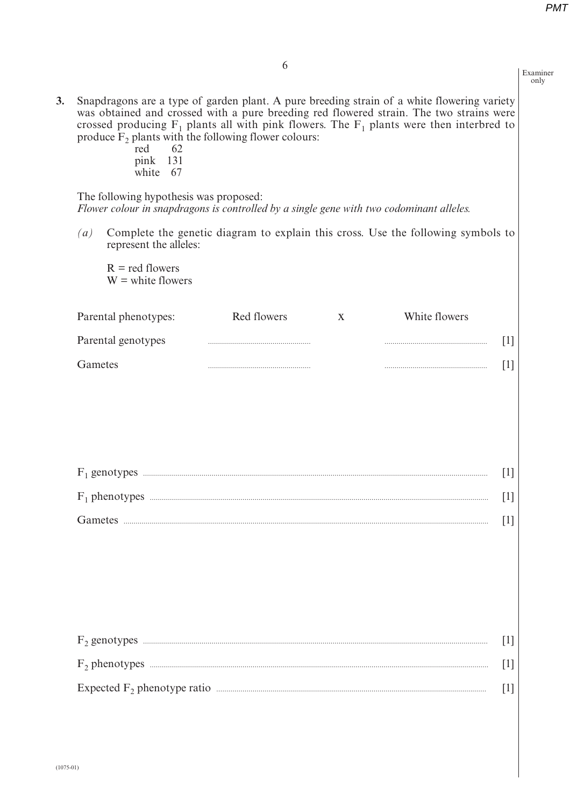Examiner only

- **3.** Snapdragons are a type of garden plant. A pure breeding strain of a white flowering variety was obtained and crossed with a pure breeding red flowered strain. The two strains were crossed producing  $F_1$  plants all with pink flowers. The  $F_1$  plants were then interbred to produce  $\overline{F}_2$  plants with the following flower colours:<br>red 62
	- red pink 131 white 67

The following hypothesis was proposed: *Flower colour in snapdragons is controlled by a single gene with two codominant alleles.*

*(a)* Complete the genetic diagram to explain this cross. Use the following symbols to represent the alleles:

 $R =$  red flowers  $W =$  white flowers

| Parental phenotypes: | Red flowers | White flowers |  |
|----------------------|-------------|---------------|--|
| Parental genotypes   |             |               |  |
| Gametes              |             |               |  |

| $F_1$ genotypes $\ldots$ [1] |  |
|------------------------------|--|
|                              |  |
|                              |  |

| $F_2$ genotypes $\ldots$ [1] |  |
|------------------------------|--|
|                              |  |
|                              |  |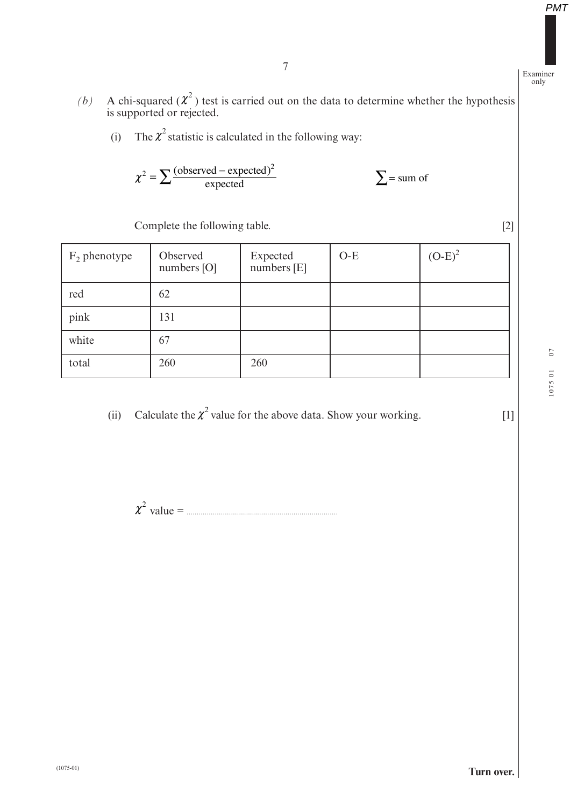Examiner only

- *(b)* A chi-squared  $(X^2)$  test is carried out on the data to determine whether the hypothesis is supported or rejected.  $\chi^2$ 
	- (i) The  $\chi^2$  statistic is calculated in the following way:

$$
\chi^2 = \sum \frac{\text{(observed - expected)}^2}{\text{expected}} \qquad \qquad \sum \text{ = sum of}
$$

Complete the following table. [2]

| $F_2$ phenotype | Observed<br>numbers [O] | Expected<br>numbers [E] | $O-E$ | $(O-E)^2$ |
|-----------------|-------------------------|-------------------------|-------|-----------|
| red             | 62                      |                         |       |           |
| pink            | 131                     |                         |       |           |
| white           | 67                      |                         |       |           |
| total           | 260                     | 260                     |       |           |

(ii) Calculate the  $\chi^2$  value for the above data. Show your working. [1]

value = **...........................................................................** χ2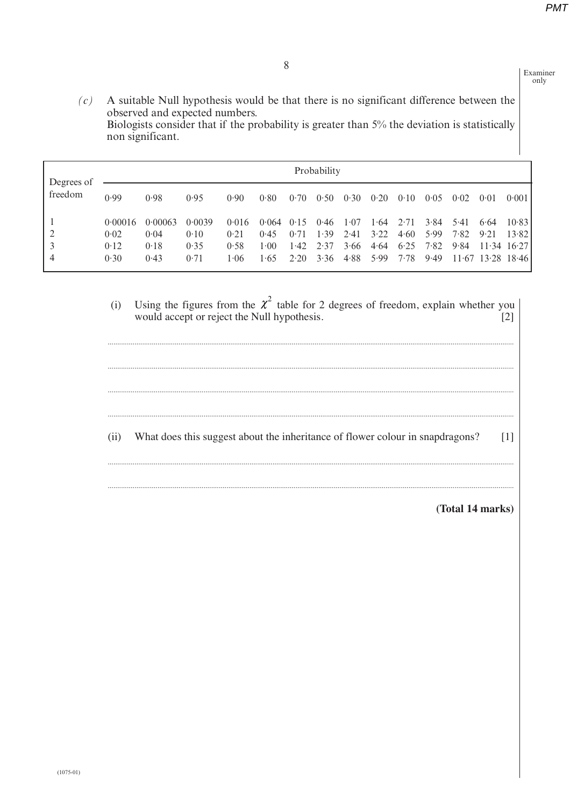- Examiner only
- *(c)* A suitable Null hypothesis would be that there is no significant difference between the observed and expected numbers. Biologists consider that if the probability is greater than 5% the deviation is statistically non significant.

| Degrees of     |                                 |                                 |                                |                               |                                        |              | Probability                               |                              |                              |                              |                              |                               |      |                                                          |
|----------------|---------------------------------|---------------------------------|--------------------------------|-------------------------------|----------------------------------------|--------------|-------------------------------------------|------------------------------|------------------------------|------------------------------|------------------------------|-------------------------------|------|----------------------------------------------------------|
| freedom        | 0.99                            | 0.98                            | 0.95                           | 0.90                          | 0.80                                   | 0.70         | 0.50                                      | 0.30                         | 0.20                         | 0.10                         | 0.05                         | 0.02                          | 0.01 | 0.001                                                    |
| $\overline{4}$ | 0.00016<br>0.02<br>0.12<br>0.30 | 0.00063<br>0.04<br>0.18<br>0.43 | 0.0039<br>0.10<br>0.35<br>0.71 | 0.016<br>0.21<br>0.58<br>1.06 | $0.064$ $0.15$<br>0.45<br>1.00<br>1.65 | 0.71<br>2.20 | 0.46<br>1.39<br>$1.42 \quad 2.37$<br>3.36 | 1.07<br>2.41<br>3.66<br>4.88 | 1.64<br>3.22<br>4.64<br>5.99 | 2.71<br>4.60<br>6.25<br>7.78 | 3.84<br>5.99<br>7.82<br>9.49 | 5.41<br>$7.82$ $9.21$<br>9.84 | 6.64 | 10.83<br>13.82<br>$11.34$ $16.27$<br>$11.67$ 13.28 18.46 |

(i) Using the figures from the  $\chi^2$  table for 2 degrees of freedom, explain whether you would accept or reject the Null hypothesis. [2]  $\chi^2$ 

**....................................................................................................................................................................................................................**

**....................................................................................................................................................................................................................**

**....................................................................................................................................................................................................................**

**....................................................................................................................................................................................................................**

(ii) What does this suggest about the inheritance of flower colour in snapdragons? [1]

**....................................................................................................................................................................................................................**

**....................................................................................................................................................................................................................**

**(Total 14 marks)**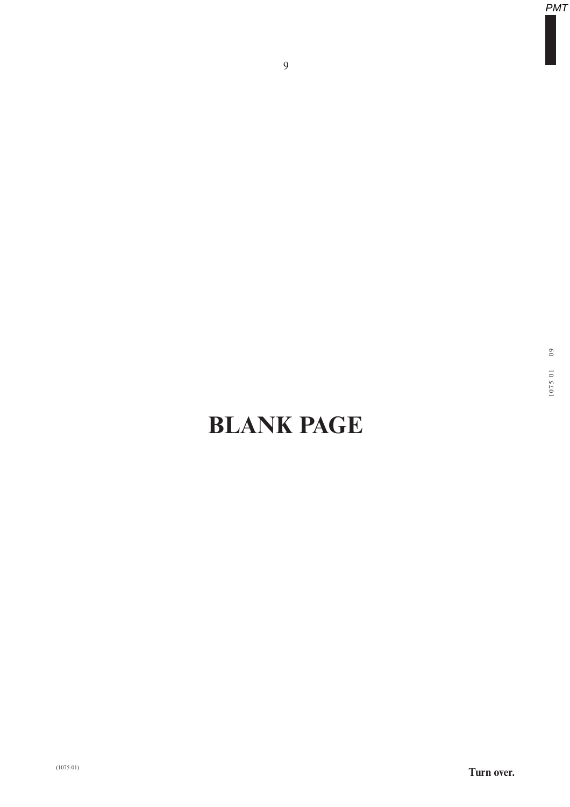

# **BLANK PAGE**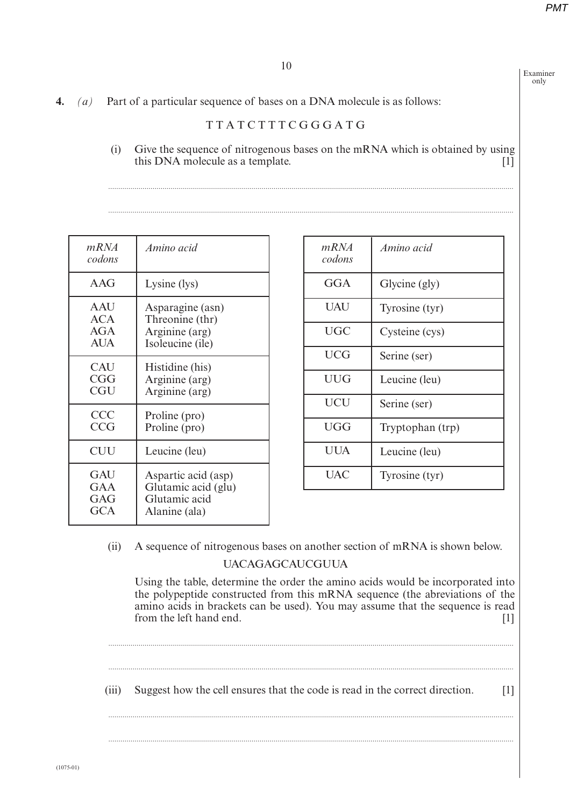Examiner only

**4.** *(a)* Part of a particular sequence of bases on a DNA molecule is as follows:

#### T T A T C T T T C G G G A T G

(i) Give the sequence of nitrogenous bases on the mRNA which is obtained by using this DNA molecule as a template. [1]

**.........................................................................................................................................................................................................**

**.........................................................................................................................................................................................................**

| mRNA<br>codons | Amino acid          |
|----------------|---------------------|
| <b>AAG</b>     | Lysine (lys)        |
| <b>AAU</b>     | Asparagine (asn)    |
| <b>ACA</b>     | Threonine (thr)     |
| AGA            | Arginine (arg)      |
| <b>AUA</b>     | Isoleucine (ile)    |
| CAU            | Histidine (his)     |
| CGG            | Arginine (arg)      |
| <b>CGU</b>     | Arginine (arg)      |
| <b>CCC</b>     | Proline (pro)       |
| <b>CCG</b>     | Proline (pro)       |
| <b>CUU</b>     | Leucine (leu)       |
| GAU            | Aspartic acid (asp) |
| <b>GAA</b>     | Glutamic acid (glu) |
| GAG            | Glutamic acid       |
| <b>GCA</b>     | Alanine (ala)       |

| mRNA<br>codons | Amino acid       |
|----------------|------------------|
| GGA            | Glycine (gly)    |
| UAU            | Tyrosine (tyr)   |
| UGC            | Cysteine (cys)   |
| <b>UCG</b>     | Serine (ser)     |
| <b>UUG</b>     | Leucine (leu)    |
| UCU            | Serine (ser)     |
| UGG            | Tryptophan (trp) |
| UUA            | Leucine (leu)    |
| UAC            | Tyrosine (tyr)   |

(ii) A sequence of nitrogenous bases on another section of mRNA is shown below.

#### UACAGAGCAUCGUUA

Using the table, determine the order the amino acids would be incorporated into the polypeptide constructed from this mRNA sequence (the abreviations of the amino acids in brackets can be used). You may assume that the sequence is read from the left hand end.

**......................................................................................................................................................................................................... .........................................................................................................................................................................................................** (iii) Suggest how the cell ensures that the code is read in the correct direction. [1] **......................................................................................................................................................................................................... .........................................................................................................................................................................................................**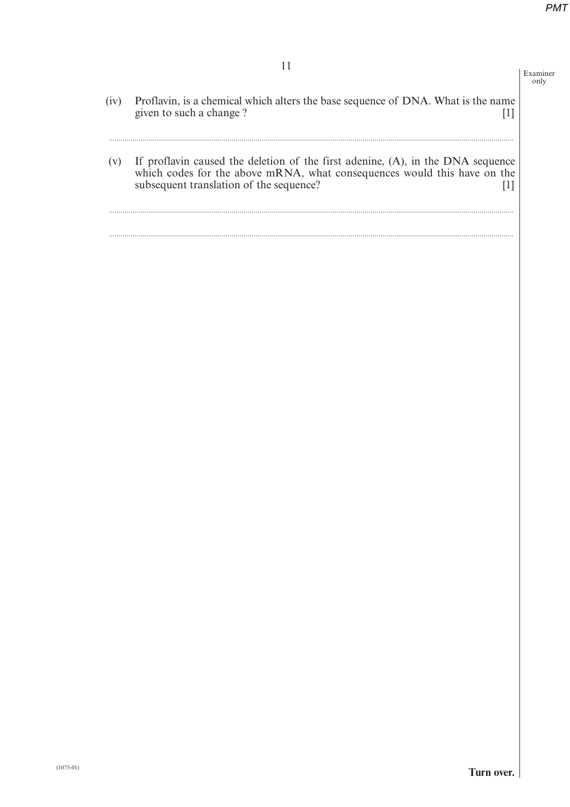- Examiner only
- (iv) Proflavin, is a chemical which alters the base sequence of DNA. What is the name given to such a change ? [1]

**.........................................................................................................................................................................................................**

(v) If proflavin caused the deletion of the first adenine, (A), in the DNA sequence which codes for the above mRNA, what consequences would this have on the subsequent translation of the sequence? [1]

**.........................................................................................................................................................................................................**

**.........................................................................................................................................................................................................**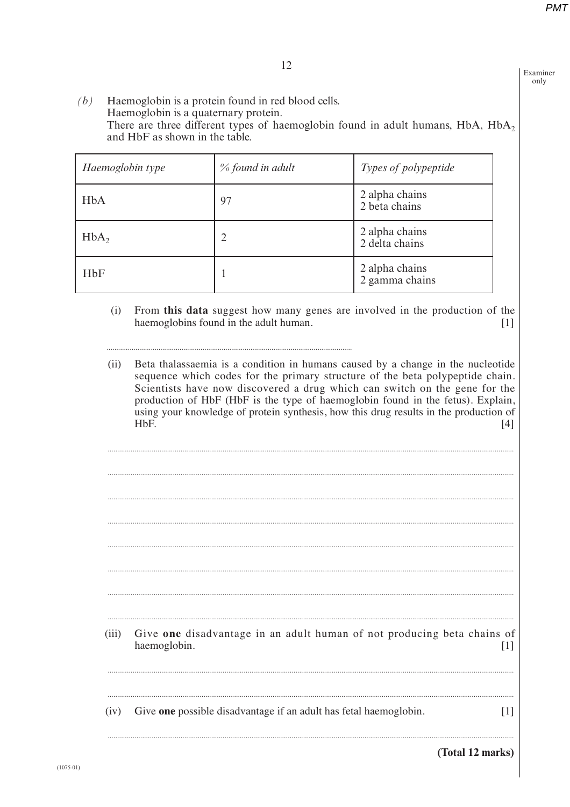Examiner only

 $(b)$ Haemoglobin is a protein found in red blood cells. Haemoglobin is a quaternary protein. There are three different types of haemoglobin found in adult humans, HbA, HbA, and HbF as shown in the table.

| Haemoglobin type | $%$ found in adult | Types of polypeptide             |
|------------------|--------------------|----------------------------------|
| <b>HbA</b>       | 97                 | 2 alpha chains<br>2 beta chains  |
| HbA <sub>2</sub> | $\overline{2}$     | 2 alpha chains<br>2 delta chains |
| <b>HbF</b>       |                    | 2 alpha chains<br>2 gamma chains |

- From this data suggest how many genes are involved in the production of the  $(i)$ haemoglobins found in the adult human.  $\lceil 1 \rceil$
- Beta thalassaemia is a condition in humans caused by a change in the nucleotide  $(ii)$ sequence which codes for the primary structure of the beta polypeptide chain. Scientists have now discovered a drug which can switch on the gene for the production of HbF (HbF is the type of haemoglobin found in the fetus). Explain, using your knowledge of protein synthesis, how this drug results in the production of HbF.  $[4]$

Give one disadvantage in an adult human of not producing beta chains of  $(iii)$ haemoglobin.  $\lceil 1 \rceil$ 

Give one possible disadvantage if an adult has fetal haemoglobin.  $(iv)$ 

 $[1]$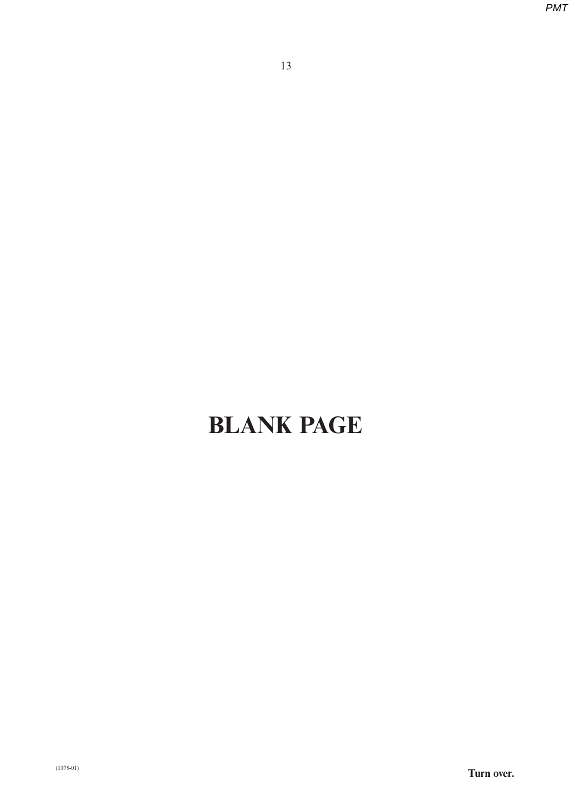### 13

# **BLANK PAGE**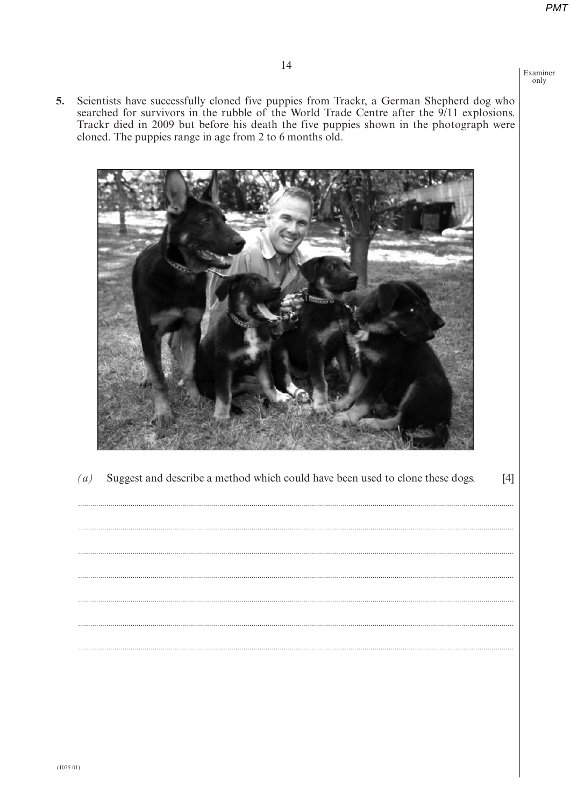Examiner  $\frac{1}{\text{only}}$ 

5. Scientists have successfully cloned five puppies from Trackr, a German Shepherd dog who searched for survivors in the rubble of the World Trade Centre after the 9/11 explosions. Trackr died in 2009 but before his death the five puppies shown in the photograph were cloned. The puppies range in age from 2 to 6 months old.



 $(a)$ Suggest and describe a method which could have been used to clone these dogs.  $[4]$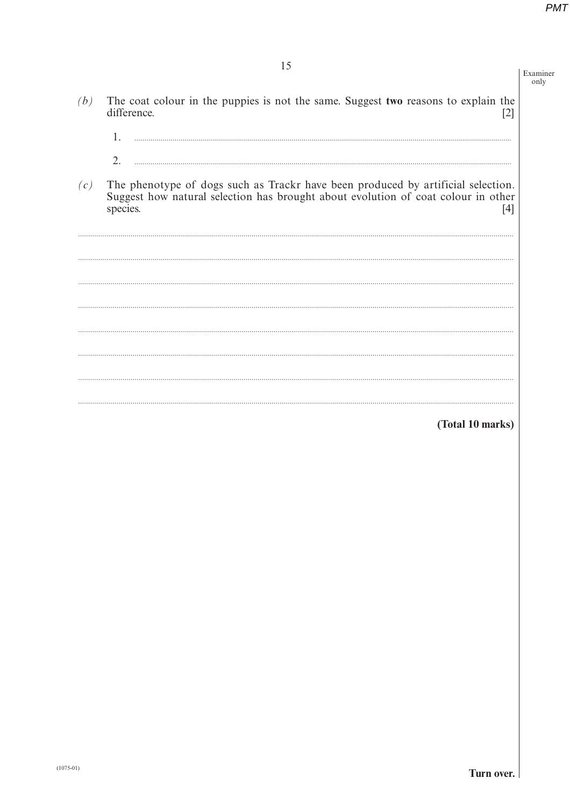Examiner only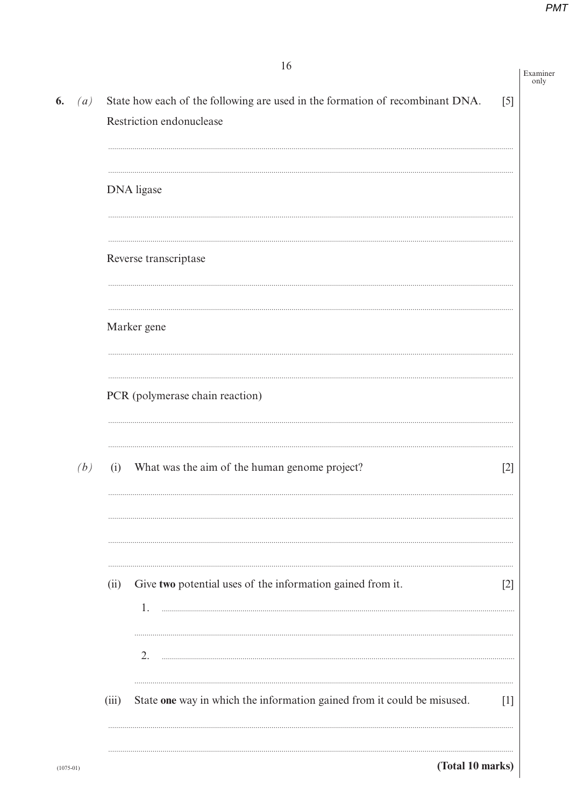|                   |                                 | 1 <sub>O</sub>                                                                                            | Examiner<br>only |  |  |
|-------------------|---------------------------------|-----------------------------------------------------------------------------------------------------------|------------------|--|--|
| $\left( a\right)$ |                                 | State how each of the following are used in the formation of recombinant DNA.<br>Restriction endonuclease | $[5]$            |  |  |
|                   |                                 | DNA ligase                                                                                                |                  |  |  |
|                   | Reverse transcriptase           |                                                                                                           |                  |  |  |
|                   |                                 | Marker gene                                                                                               |                  |  |  |
|                   | PCR (polymerase chain reaction) |                                                                                                           |                  |  |  |
| (b)               | (i)                             | What was the aim of the human genome project?                                                             | $[2]$            |  |  |
|                   | (ii)                            | Give two potential uses of the information gained from it.<br>1.                                          | $[2]$            |  |  |
|                   |                                 | 2.                                                                                                        |                  |  |  |
|                   | (iii)                           | State one way in which the information gained from it could be misused.                                   | $[1]$            |  |  |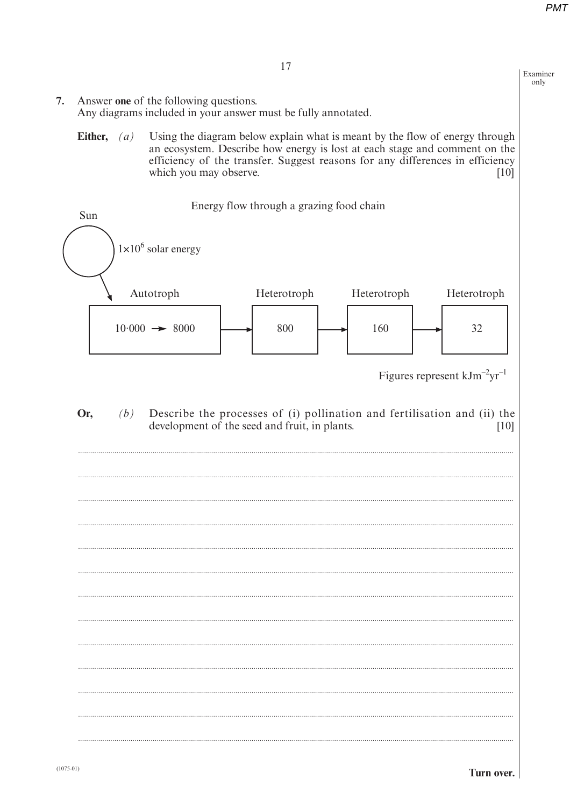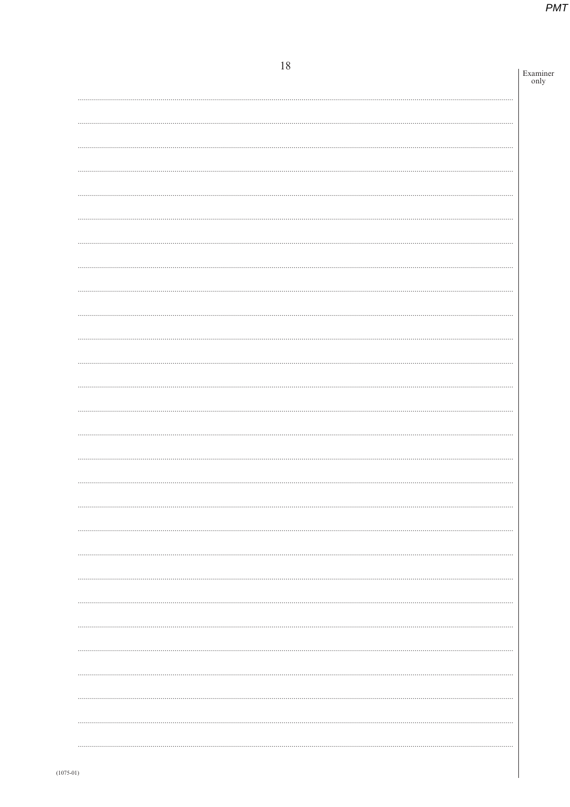| 18 |                  |
|----|------------------|
|    | Examiner<br>only |
|    |                  |
|    |                  |
|    |                  |
|    |                  |
|    |                  |
|    |                  |
|    |                  |
|    |                  |
|    |                  |
|    |                  |
|    |                  |
|    |                  |
|    |                  |
|    |                  |
|    |                  |
|    |                  |
|    |                  |
|    |                  |
|    |                  |
|    |                  |
|    |                  |
|    |                  |
|    |                  |
|    |                  |
|    |                  |
|    |                  |
|    |                  |
|    |                  |
|    |                  |
|    |                  |
|    |                  |
|    |                  |
|    |                  |
|    |                  |
|    |                  |
|    |                  |
|    |                  |
|    |                  |